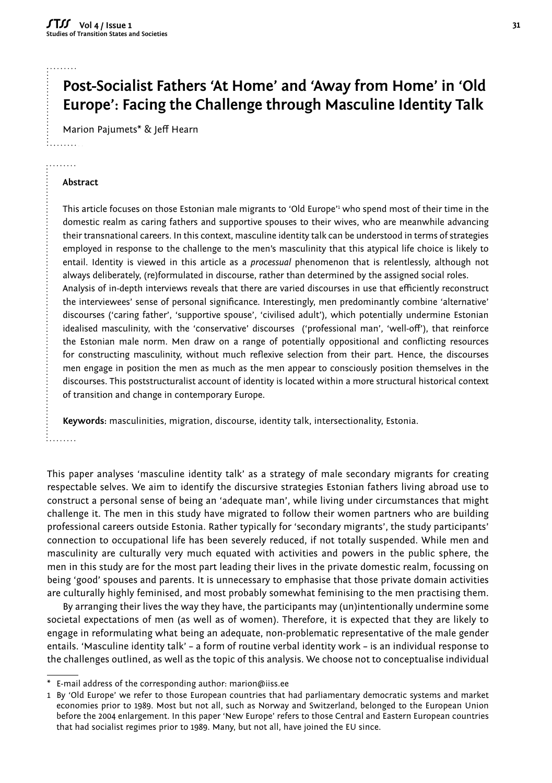#### . . . . . . .

. . . . . . . . . . . . . . . . .

# **Post-Socialist Fathers 'At Home' and 'Away from Home' in 'Old Europe': Facing the Challenge through Masculine Identity Talk**

Marion Pajumets\* & Jeff Hearn

## **Abstract**

This article focuses on those Estonian male migrants to 'Old Europe'<sup>,</sup> who spend most of their time in the domestic realm as caring fathers and supportive spouses to their wives, who are meanwhile advancing their transnational careers. In this context, masculine identity talk can be understood in terms of strategies employed in response to the challenge to the men's masculinity that this atypical life choice is likely to entail. Identity is viewed in this article as a *processual* phenomenon that is relentlessly, although not always deliberately, (re)formulated in discourse, rather than determined by the assigned social roles. Analysis of in-depth interviews reveals that there are varied discourses in use that efficiently reconstruct the interviewees' sense of personal significance. Interestingly, men predominantly combine 'alternative' discourses ('caring father', 'supportive spouse', 'civilised adult'), which potentially undermine Estonian idealised masculinity, with the 'conservative' discourses ('professional man', 'well-off'), that reinforce the Estonian male norm. Men draw on a range of potentially oppositional and conflicting resources for constructing masculinity, without much reflexive selection from their part. Hence, the discourses men engage in position the men as much as the men appear to consciously position themselves in the discourses. This poststructuralist account of identity is located within a more structural historical context of transition and change in contemporary Europe.

**Keywords:** masculinities, migration, discourse, identity talk, intersectionality, Estonia.

. . . . . . . . .

This paper analyses 'masculine identity talk' as a strategy of male secondary migrants for creating respectable selves. We aim to identify the discursive strategies Estonian fathers living abroad use to construct a personal sense of being an 'adequate man', while living under circumstances that might challenge it. The men in this study have migrated to follow their women partners who are building professional careers outside Estonia. Rather typically for 'secondary migrants', the study participants' connection to occupational life has been severely reduced, if not totally suspended. While men and masculinity are culturally very much equated with activities and powers in the public sphere, the men in this study are for the most part leading their lives in the private domestic realm, focussing on being 'good' spouses and parents. It is unnecessary to emphasise that those private domain activities are culturally highly feminised, and most probably somewhat feminising to the men practising them.

By arranging their lives the way they have, the participants may (un)intentionally undermine some societal expectations of men (as well as of women). Therefore, it is expected that they are likely to engage in reformulating what being an adequate, non-problematic representative of the male gender entails. 'Masculine identity talk' – a form of routine verbal identity work – is an individual response to the challenges outlined, as well as the topic of this analysis. We choose not to conceptualise individual

E-mail address of the corresponding author: marion@iiss.ee

<sup>1</sup> By 'Old Europe' we refer to those European countries that had parliamentary democratic systems and market economies prior to 1989. Most but not all, such as Norway and Switzerland, belonged to the European Union before the 2004 enlargement. In this paper 'New Europe' refers to those Central and Eastern European countries that had socialist regimes prior to 1989. Many, but not all, have joined the EU since.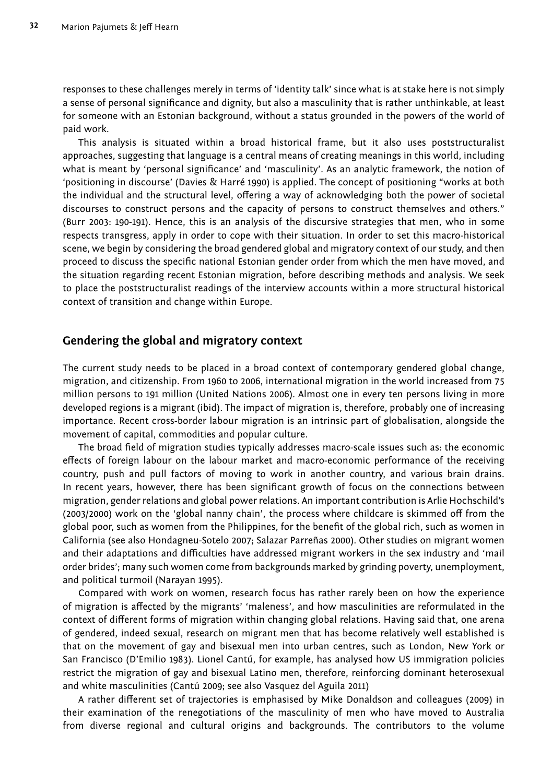responses to these challenges merely in terms of 'identity talk' since what is at stake here is not simply a sense of personal significance and dignity, but also a masculinity that is rather unthinkable, at least for someone with an Estonian background, without a status grounded in the powers of the world of paid work.

This analysis is situated within a broad historical frame, but it also uses poststructuralist approaches, suggesting that language is a central means of creating meanings in this world, including what is meant by 'personal significance' and 'masculinity'. As an analytic framework, the notion of 'positioning in discourse' (Davies & Harré 1990) is applied. The concept of positioning "works at both the individual and the structural level, offering a way of acknowledging both the power of societal discourses to construct persons and the capacity of persons to construct themselves and others." (Burr 2003: 190-191). Hence, this is an analysis of the discursive strategies that men, who in some respects transgress, apply in order to cope with their situation. In order to set this macro-historical scene, we begin by considering the broad gendered global and migratory context of our study, and then proceed to discuss the specific national Estonian gender order from which the men have moved, and the situation regarding recent Estonian migration, before describing methods and analysis. We seek to place the poststructuralist readings of the interview accounts within a more structural historical context of transition and change within Europe.

## **Gendering the global and migratory context**

The current study needs to be placed in a broad context of contemporary gendered global change, migration, and citizenship. From 1960 to 2006, international migration in the world increased from 75 million persons to 191 million (United Nations 2006). Almost one in every ten persons living in more developed regions is a migrant (ibid). The impact of migration is, therefore, probably one of increasing importance. Recent cross-border labour migration is an intrinsic part of globalisation, alongside the movement of capital, commodities and popular culture.

The broad field of migration studies typically addresses macro-scale issues such as: the economic effects of foreign labour on the labour market and macro-economic performance of the receiving country, push and pull factors of moving to work in another country, and various brain drains. In recent years, however, there has been significant growth of focus on the connections between migration, gender relations and global power relations. An important contribution is Arlie Hochschild's (2003/2000) work on the 'global nanny chain', the process where childcare is skimmed off from the global poor, such as women from the Philippines, for the benefit of the global rich, such as women in California (see also Hondagneu-Sotelo 2007; Salazar Parreñas 2000). Other studies on migrant women and their adaptations and difficulties have addressed migrant workers in the sex industry and 'mail order brides'; many such women come from backgrounds marked by grinding poverty, unemployment, and political turmoil (Narayan 1995).

Compared with work on women, research focus has rather rarely been on how the experience of migration is affected by the migrants' 'maleness', and how masculinities are reformulated in the context of different forms of migration within changing global relations. Having said that, one arena of gendered, indeed sexual, research on migrant men that has become relatively well established is that on the movement of gay and bisexual men into urban centres, such as London, New York or San Francisco (D'Emilio 1983). Lionel Cantú, for example, has analysed how US immigration policies restrict the migration of gay and bisexual Latino men, therefore, reinforcing dominant heterosexual and white masculinities (Cantú 2009; see also Vasquez del Aguila 2011)

A rather different set of trajectories is emphasised by Mike Donaldson and colleagues (2009) in their examination of the renegotiations of the masculinity of men who have moved to Australia from diverse regional and cultural origins and backgrounds. The contributors to the volume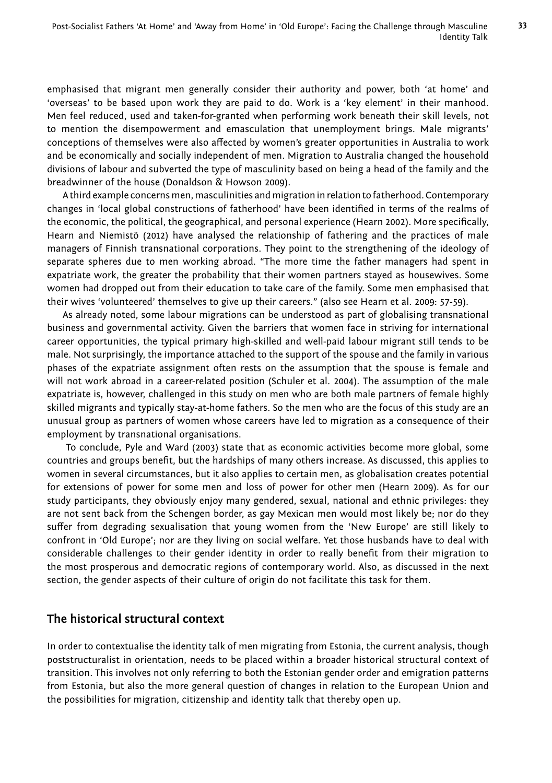emphasised that migrant men generally consider their authority and power, both 'at home' and 'overseas' to be based upon work they are paid to do. Work is a 'key element' in their manhood. Men feel reduced, used and taken-for-granted when performing work beneath their skill levels, not to mention the disempowerment and emasculation that unemployment brings. Male migrants' conceptions of themselves were also affected by women's greater opportunities in Australia to work and be economically and socially independent of men. Migration to Australia changed the household divisions of labour and subverted the type of masculinity based on being a head of the family and the breadwinner of the house (Donaldson & Howson 2009).

A third example concerns men, masculinities and migration in relation to fatherhood. Contemporary changes in 'local global constructions of fatherhood' have been identified in terms of the realms of the economic, the political, the geographical, and personal experience (Hearn 2002). More specifically, Hearn and Niemistö (2012) have analysed the relationship of fathering and the practices of male managers of Finnish transnational corporations. They point to the strengthening of the ideology of separate spheres due to men working abroad. "The more time the father managers had spent in expatriate work, the greater the probability that their women partners stayed as housewives. Some women had dropped out from their education to take care of the family. Some men emphasised that their wives 'volunteered' themselves to give up their careers." (also see Hearn et al. 2009: 57-59).

As already noted, some labour migrations can be understood as part of globalising transnational business and governmental activity. Given the barriers that women face in striving for international career opportunities, the typical primary high-skilled and well-paid labour migrant still tends to be male. Not surprisingly, the importance attached to the support of the spouse and the family in various phases of the expatriate assignment often rests on the assumption that the spouse is female and will not work abroad in a career-related position (Schuler et al. 2004). The assumption of the male expatriate is, however, challenged in this study on men who are both male partners of female highly skilled migrants and typically stay-at-home fathers. So the men who are the focus of this study are an unusual group as partners of women whose careers have led to migration as a consequence of their employment by transnational organisations.

 To conclude, Pyle and Ward (2003) state that as economic activities become more global, some countries and groups benefit, but the hardships of many others increase. As discussed, this applies to women in several circumstances, but it also applies to certain men, as globalisation creates potential for extensions of power for some men and loss of power for other men (Hearn 2009). As for our study participants, they obviously enjoy many gendered, sexual, national and ethnic privileges: they are not sent back from the Schengen border, as gay Mexican men would most likely be; nor do they suffer from degrading sexualisation that young women from the 'New Europe' are still likely to confront in 'Old Europe'; nor are they living on social welfare. Yet those husbands have to deal with considerable challenges to their gender identity in order to really benefit from their migration to the most prosperous and democratic regions of contemporary world. Also, as discussed in the next section, the gender aspects of their culture of origin do not facilitate this task for them.

# **The historical structural context**

In order to contextualise the identity talk of men migrating from Estonia, the current analysis, though poststructuralist in orientation, needs to be placed within a broader historical structural context of transition. This involves not only referring to both the Estonian gender order and emigration patterns from Estonia, but also the more general question of changes in relation to the European Union and the possibilities for migration, citizenship and identity talk that thereby open up.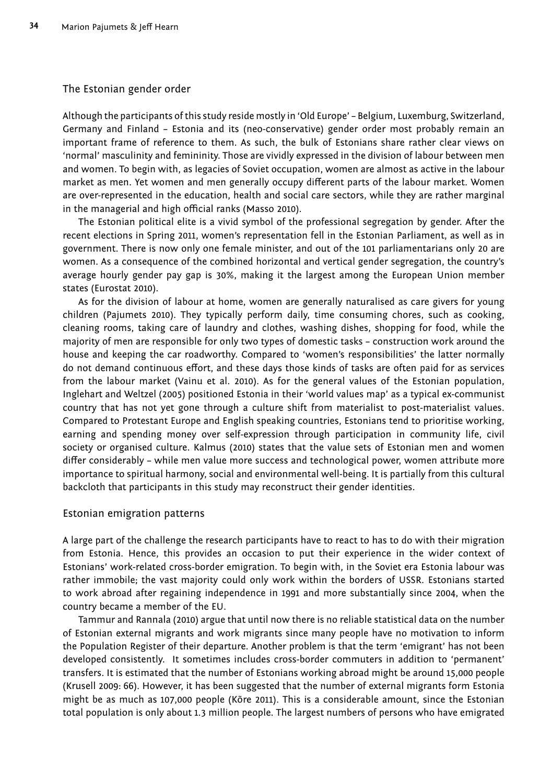#### The Estonian gender order

Although the participants of this study reside mostly in 'Old Europe' – Belgium, Luxemburg, Switzerland, Germany and Finland – Estonia and its (neo-conservative) gender order most probably remain an important frame of reference to them. As such, the bulk of Estonians share rather clear views on 'normal' masculinity and femininity. Those are vividly expressed in the division of labour between men and women. To begin with, as legacies of Soviet occupation, women are almost as active in the labour market as men. Yet women and men generally occupy different parts of the labour market. Women are over-represented in the education, health and social care sectors, while they are rather marginal in the managerial and high official ranks (Masso 2010).

The Estonian political elite is a vivid symbol of the professional segregation by gender. After the recent elections in Spring 2011, women's representation fell in the Estonian Parliament, as well as in government. There is now only one female minister, and out of the 101 parliamentarians only 20 are women. As a consequence of the combined horizontal and vertical gender segregation, the country's average hourly gender pay gap is 30%, making it the largest among the European Union member states (Eurostat 2010).

As for the division of labour at home, women are generally naturalised as care givers for young children (Pajumets 2010). They typically perform daily, time consuming chores, such as cooking, cleaning rooms, taking care of laundry and clothes, washing dishes, shopping for food, while the majority of men are responsible for only two types of domestic tasks – construction work around the house and keeping the car roadworthy. Compared to 'women's responsibilities' the latter normally do not demand continuous effort, and these days those kinds of tasks are often paid for as services from the labour market (Vainu et al. 2010). As for the general values of the Estonian population, Inglehart and Weltzel (2005) positioned Estonia in their 'world values map' as a typical ex-communist country that has not yet gone through a culture shift from materialist to post-materialist values. Compared to Protestant Europe and English speaking countries, Estonians tend to prioritise working, earning and spending money over self-expression through participation in community life, civil society or organised culture. Kalmus (2010) states that the value sets of Estonian men and women differ considerably - while men value more success and technological power, women attribute more importance to spiritual harmony, social and environmental well-being. It is partially from this cultural backcloth that participants in this study may reconstruct their gender identities.

#### Estonian emigration patterns

A large part of the challenge the research participants have to react to has to do with their migration from Estonia. Hence, this provides an occasion to put their experience in the wider context of Estonians' work-related cross-border emigration. To begin with, in the Soviet era Estonia labour was rather immobile; the vast majority could only work within the borders of USSR. Estonians started to work abroad after regaining independence in 1991 and more substantially since 2004, when the country became a member of the EU.

Tammur and Rannala (2010) argue that until now there is no reliable statistical data on the number of Estonian external migrants and work migrants since many people have no motivation to inform the Population Register of their departure. Another problem is that the term 'emigrant' has not been developed consistently. It sometimes includes cross-border commuters in addition to 'permanent' transfers. It is estimated that the number of Estonians working abroad might be around 15,000 people (Krusell 2009: 66). However, it has been suggested that the number of external migrants form Estonia might be as much as 107,000 people (Kõre 2011). This is a considerable amount, since the Estonian total population is only about 1.3 million people. The largest numbers of persons who have emigrated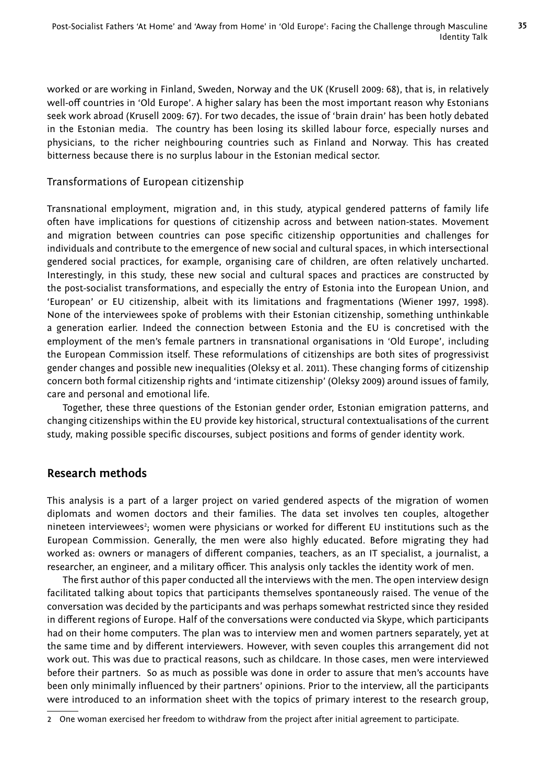worked or are working in Finland, Sweden, Norway and the UK (Krusell 2009: 68), that is, in relatively well-off countries in 'Old Europe'. A higher salary has been the most important reason why Estonians seek work abroad (Krusell 2009: 67). For two decades, the issue of 'brain drain' has been hotly debated in the Estonian media. The country has been losing its skilled labour force, especially nurses and physicians, to the richer neighbouring countries such as Finland and Norway. This has created bitterness because there is no surplus labour in the Estonian medical sector.

## Transformations of European citizenship

Transnational employment, migration and, in this study, atypical gendered patterns of family life often have implications for questions of citizenship across and between nation-states. Movement and migration between countries can pose specific citizenship opportunities and challenges for individuals and contribute to the emergence of new social and cultural spaces, in which intersectional gendered social practices, for example, organising care of children, are often relatively uncharted. Interestingly, in this study, these new social and cultural spaces and practices are constructed by the post-socialist transformations, and especially the entry of Estonia into the European Union, and 'European' or EU citizenship, albeit with its limitations and fragmentations (Wiener 1997, 1998). None of the interviewees spoke of problems with their Estonian citizenship, something unthinkable a generation earlier. Indeed the connection between Estonia and the EU is concretised with the employment of the men's female partners in transnational organisations in 'Old Europe', including the European Commission itself. These reformulations of citizenships are both sites of progressivist gender changes and possible new inequalities (Oleksy et al. 2011). These changing forms of citizenship concern both formal citizenship rights and 'intimate citizenship' (Oleksy 2009) around issues of family, care and personal and emotional life.

Together, these three questions of the Estonian gender order, Estonian emigration patterns, and changing citizenships within the EU provide key historical, structural contextualisations of the current study, making possible specific discourses, subject positions and forms of gender identity work.

# **Research methods**

This analysis is a part of a larger project on varied gendered aspects of the migration of women diplomats and women doctors and their families. The data set involves ten couples, altogether nineteen interviewees<sup>2</sup>; women were physicians or worked for different EU institutions such as the European Commission. Generally, the men were also highly educated. Before migrating they had worked as: owners or managers of different companies, teachers, as an IT specialist, a journalist, a researcher, an engineer, and a military officer. This analysis only tackles the identity work of men.

The first author of this paper conducted all the interviews with the men. The open interview design facilitated talking about topics that participants themselves spontaneously raised. The venue of the conversation was decided by the participants and was perhaps somewhat restricted since they resided in different regions of Europe. Half of the conversations were conducted via Skype, which participants had on their home computers. The plan was to interview men and women partners separately, yet at the same time and by different interviewers. However, with seven couples this arrangement did not work out. This was due to practical reasons, such as childcare. In those cases, men were interviewed before their partners. So as much as possible was done in order to assure that men's accounts have been only minimally influenced by their partners' opinions. Prior to the interview, all the participants were introduced to an information sheet with the topics of primary interest to the research group,

<sup>2</sup> One woman exercised her freedom to withdraw from the project after initial agreement to participate.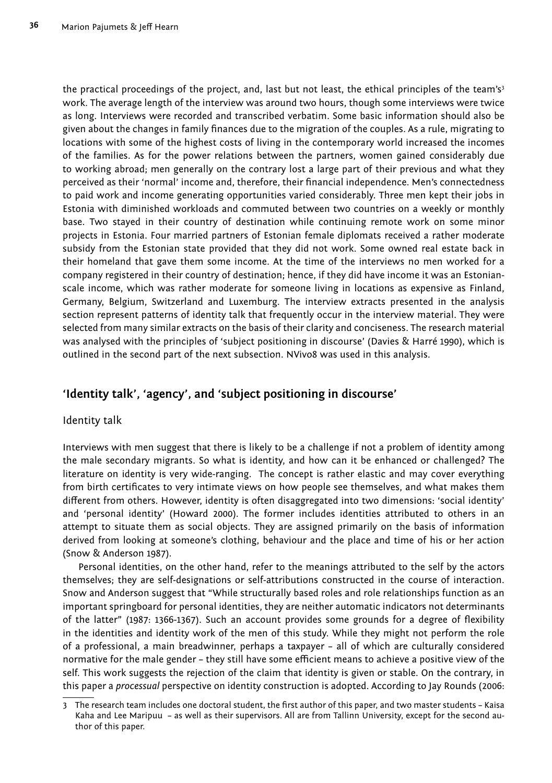the practical proceedings of the project, and, last but not least, the ethical principles of the team's<sup>3</sup> work. The average length of the interview was around two hours, though some interviews were twice as long. Interviews were recorded and transcribed verbatim. Some basic information should also be given about the changes in family finances due to the migration of the couples. As a rule, migrating to locations with some of the highest costs of living in the contemporary world increased the incomes of the families. As for the power relations between the partners, women gained considerably due to working abroad; men generally on the contrary lost a large part of their previous and what they perceived as their 'normal' income and, therefore, their financial independence. Men's connectedness to paid work and income generating opportunities varied considerably. Three men kept their jobs in Estonia with diminished workloads and commuted between two countries on a weekly or monthly base. Two stayed in their country of destination while continuing remote work on some minor projects in Estonia. Four married partners of Estonian female diplomats received a rather moderate subsidy from the Estonian state provided that they did not work. Some owned real estate back in their homeland that gave them some income. At the time of the interviews no men worked for a company registered in their country of destination; hence, if they did have income it was an Estonianscale income, which was rather moderate for someone living in locations as expensive as Finland, Germany, Belgium, Switzerland and Luxemburg. The interview extracts presented in the analysis section represent patterns of identity talk that frequently occur in the interview material. They were selected from many similar extracts on the basis of their clarity and conciseness. The research material was analysed with the principles of 'subject positioning in discourse' (Davies & Harré 1990), which is outlined in the second part of the next subsection. NVivo8 was used in this analysis.

# **'Identity talk', 'agency', and 'subject positioning in discourse'**

#### Identity talk

Interviews with men suggest that there is likely to be a challenge if not a problem of identity among the male secondary migrants. So what is identity, and how can it be enhanced or challenged? The literature on identity is very wide-ranging. The concept is rather elastic and may cover everything from birth certificates to very intimate views on how people see themselves, and what makes them different from others. However, identity is often disaggregated into two dimensions: 'social identity' and 'personal identity' (Howard 2000). The former includes identities attributed to others in an attempt to situate them as social objects. They are assigned primarily on the basis of information derived from looking at someone's clothing, behaviour and the place and time of his or her action (Snow & Anderson 1987).

Personal identities, on the other hand, refer to the meanings attributed to the self by the actors themselves; they are self-designations or self-attributions constructed in the course of interaction. Snow and Anderson suggest that "While structurally based roles and role relationships function as an important springboard for personal identities, they are neither automatic indicators not determinants of the latter" (1987: 1366-1367). Such an account provides some grounds for a degree of flexibility in the identities and identity work of the men of this study. While they might not perform the role of a professional, a main breadwinner, perhaps a taxpayer – all of which are culturally considered normative for the male gender – they still have some efficient means to achieve a positive view of the self. This work suggests the rejection of the claim that identity is given or stable. On the contrary, in this paper a *processual* perspective on identity construction is adopted. According to Jay Rounds (2006:

<sup>3</sup> The research team includes one doctoral student, the first author of this paper, and two master students - Kaisa Kaha and Lee Maripuu – as well as their supervisors. All are from Tallinn University, except for the second author of this paper.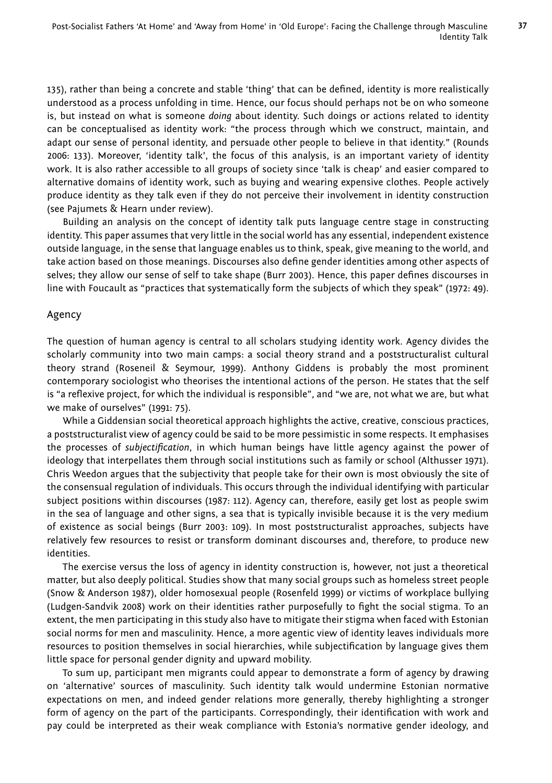135), rather than being a concrete and stable 'thing' that can be defined, identity is more realistically understood as a process unfolding in time. Hence, our focus should perhaps not be on who someone is, but instead on what is someone *doing* about identity. Such doings or actions related to identity can be conceptualised as identity work: "the process through which we construct, maintain, and adapt our sense of personal identity, and persuade other people to believe in that identity." (Rounds 2006: 133). Moreover, 'identity talk', the focus of this analysis, is an important variety of identity work. It is also rather accessible to all groups of society since 'talk is cheap' and easier compared to alternative domains of identity work, such as buying and wearing expensive clothes. People actively produce identity as they talk even if they do not perceive their involvement in identity construction (see Pajumets & Hearn under review).

Building an analysis on the concept of identity talk puts language centre stage in constructing identity. This paper assumes that very little in the social world has any essential, independent existence outside language, in the sense that language enables us to think, speak, give meaning to the world, and take action based on those meanings. Discourses also define gender identities among other aspects of selves; they allow our sense of self to take shape (Burr 2003). Hence, this paper defines discourses in line with Foucault as "practices that systematically form the subjects of which they speak" (1972: 49).

#### Agency

The question of human agency is central to all scholars studying identity work. Agency divides the scholarly community into two main camps: a social theory strand and a poststructuralist cultural theory strand (Roseneil & Seymour, 1999). Anthony Giddens is probably the most prominent contemporary sociologist who theorises the intentional actions of the person. He states that the self is "a reflexive project, for which the individual is responsible", and "we are, not what we are, but what we make of ourselves" (1991: 75).

While a Giddensian social theoretical approach highlights the active, creative, conscious practices, a poststructuralist view of agency could be said to be more pessimistic in some respects. It emphasises the processes of *subjectifi cation*, in which human beings have little agency against the power of ideology that interpellates them through social institutions such as family or school (Althusser 1971). Chris Weedon argues that the subjectivity that people take for their own is most obviously the site of the consensual regulation of individuals. This occurs through the individual identifying with particular subject positions within discourses (1987: 112). Agency can, therefore, easily get lost as people swim in the sea of language and other signs, a sea that is typically invisible because it is the very medium of existence as social beings (Burr 2003: 109). In most poststructuralist approaches, subjects have relatively few resources to resist or transform dominant discourses and, therefore, to produce new identities.

The exercise versus the loss of agency in identity construction is, however, not just a theoretical matter, but also deeply political. Studies show that many social groups such as homeless street people (Snow & Anderson 1987), older homosexual people (Rosenfeld 1999) or victims of workplace bullying (Ludgen-Sandvik 2008) work on their identities rather purposefully to fight the social stigma. To an extent, the men participating in this study also have to mitigate their stigma when faced with Estonian social norms for men and masculinity. Hence, a more agentic view of identity leaves individuals more resources to position themselves in social hierarchies, while subjectification by language gives them little space for personal gender dignity and upward mobility.

To sum up, participant men migrants could appear to demonstrate a form of agency by drawing on 'alternative' sources of masculinity. Such identity talk would undermine Estonian normative expectations on men, and indeed gender relations more generally, thereby highlighting a stronger form of agency on the part of the participants. Correspondingly, their identification with work and pay could be interpreted as their weak compliance with Estonia's normative gender ideology, and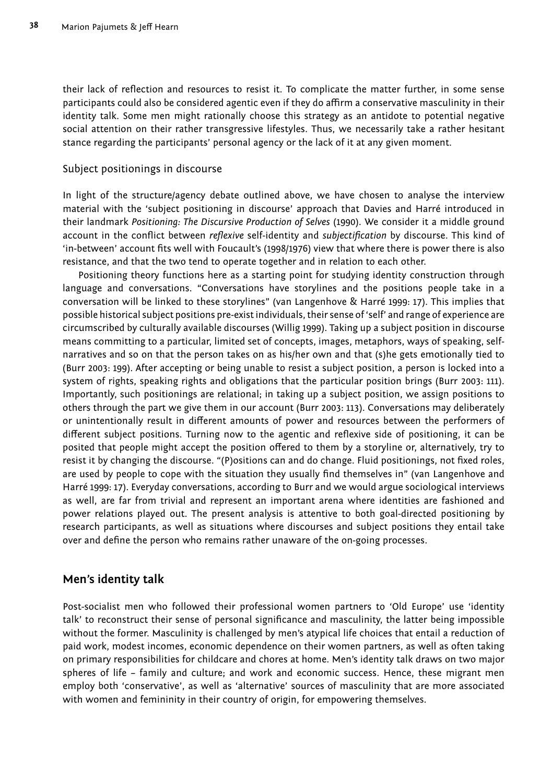their lack of reflection and resources to resist it. To complicate the matter further, in some sense participants could also be considered agentic even if they do affirm a conservative masculinity in their identity talk. Some men might rationally choose this strategy as an antidote to potential negative social attention on their rather transgressive lifestyles. Thus, we necessarily take a rather hesitant stance regarding the participants' personal agency or the lack of it at any given moment.

### Subject positionings in discourse

In light of the structure/agency debate outlined above, we have chosen to analyse the interview material with the 'subject positioning in discourse' approach that Davies and Harré introduced in their landmark *Positioning: The Discursive Production of Selves* (1990). We consider it a middle ground account in the conflict between *reflexive* self-identity and *subjectification* by discourse. This kind of 'in-between' account fits well with Foucault's (1998/1976) view that where there is power there is also resistance, and that the two tend to operate together and in relation to each other.

Positioning theory functions here as a starting point for studying identity construction through language and conversations. "Conversations have storylines and the positions people take in a conversation will be linked to these storylines" (van Langenhove & Harré 1999: 17). This implies that possible historical subject positions pre-exist individuals, their sense of 'self' and range of experience are circumscribed by culturally available discourses (Willig 1999). Taking up a subject position in discourse means committing to a particular, limited set of concepts, images, metaphors, ways of speaking, selfnarratives and so on that the person takes on as his/her own and that (s)he gets emotionally tied to (Burr 2003: 199). After accepting or being unable to resist a subject position, a person is locked into a system of rights, speaking rights and obligations that the particular position brings (Burr 2003: 111). Importantly, such positionings are relational; in taking up a subject position, we assign positions to others through the part we give them in our account (Burr 2003: 113). Conversations may deliberately or unintentionally result in different amounts of power and resources between the performers of different subject positions. Turning now to the agentic and reflexive side of positioning, it can be posited that people might accept the position offered to them by a storyline or, alternatively, try to resist it by changing the discourse. "(P)ositions can and do change. Fluid positionings, not fixed roles, are used by people to cope with the situation they usually find themselves in" (van Langenhove and Harré 1999: 17). Everyday conversations, according to Burr and we would argue sociological interviews as well, are far from trivial and represent an important arena where identities are fashioned and power relations played out. The present analysis is attentive to both goal-directed positioning by research participants, as well as situations where discourses and subject positions they entail take over and define the person who remains rather unaware of the on-going processes.

# **Men's identity talk**

Post-socialist men who followed their professional women partners to 'Old Europe' use 'identity talk' to reconstruct their sense of personal significance and masculinity, the latter being impossible without the former. Masculinity is challenged by men's atypical life choices that entail a reduction of paid work, modest incomes, economic dependence on their women partners, as well as often taking on primary responsibilities for childcare and chores at home. Men's identity talk draws on two major spheres of life – family and culture; and work and economic success. Hence, these migrant men employ both 'conservative', as well as 'alternative' sources of masculinity that are more associated with women and femininity in their country of origin, for empowering themselves.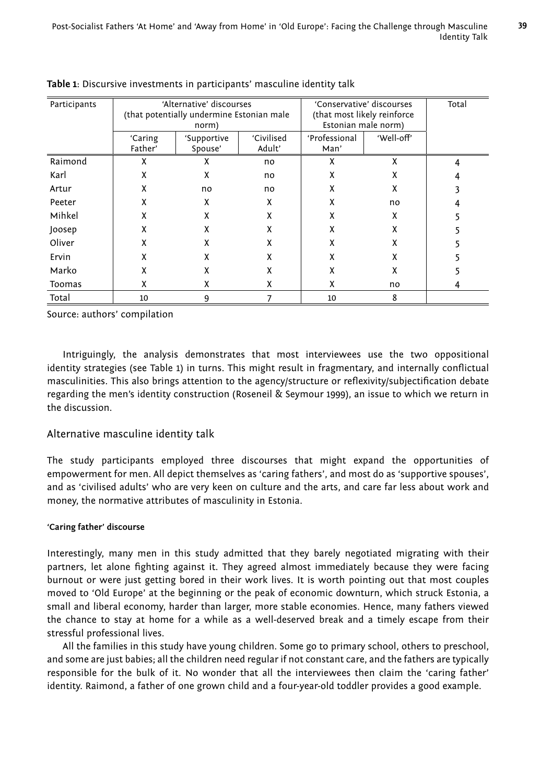**39**

| Participants | 'Alternative' discourses                  |             |                              | 'Conservative' discourses |            | Total |
|--------------|-------------------------------------------|-------------|------------------------------|---------------------------|------------|-------|
|              | (that potentially undermine Estonian male |             | (that most likely reinforce) |                           |            |       |
|              | norm)                                     |             |                              | Estonian male norm)       |            |       |
|              | 'Caring                                   | 'Supportive | 'Civilised                   | 'Professional             | 'Well-off' |       |
|              | Father'                                   | Spouse'     | Adult'                       | Man'                      |            |       |
| Raimond      | x                                         | x           | no                           | X                         | X          | 4     |
| Karl         | X                                         | x           | no                           | X                         | X          |       |
| Artur        | X                                         | no          | no                           | X                         | X          |       |
| Peeter       | X                                         | x           | x                            | X                         | no         |       |
| Mihkel       | χ                                         | x           | χ                            | X                         | X          |       |
| Joosep       | X                                         | x           | X                            | X                         | X          |       |
| Oliver       | X                                         | χ           | x                            | X                         | X          |       |
| Ervin        | X                                         | x           | x                            | X                         | x          |       |
| Marko        | χ                                         | x           | x                            | χ                         | x          |       |
| Toomas       | χ                                         | x           | x                            | X                         | no         | 4     |
| Total        | 10                                        | 9           |                              | 10                        | 8          |       |

Source: authors' compilation

Intriguingly, the analysis demonstrates that most interviewees use the two oppositional identity strategies (see Table 1) in turns. This might result in fragmentary, and internally conflictual masculinities. This also brings attention to the agency/structure or reflexivity/subjectification debate regarding the men's identity construction (Roseneil & Seymour 1999), an issue to which we return in the discussion.

## Alternative masculine identity talk

The study participants employed three discourses that might expand the opportunities of empowerment for men. All depict themselves as 'caring fathers', and most do as 'supportive spouses', and as 'civilised adults' who are very keen on culture and the arts, and care far less about work and money, the normative attributes of masculinity in Estonia.

#### **'Caring father' discourse**

Interestingly, many men in this study admitted that they barely negotiated migrating with their partners, let alone fighting against it. They agreed almost immediately because they were facing burnout or were just getting bored in their work lives. It is worth pointing out that most couples moved to 'Old Europe' at the beginning or the peak of economic downturn, which struck Estonia, a small and liberal economy, harder than larger, more stable economies. Hence, many fathers viewed the chance to stay at home for a while as a well-deserved break and a timely escape from their stressful professional lives.

All the families in this study have young children. Some go to primary school, others to preschool, and some are just babies; all the children need regular if not constant care, and the fathers are typically responsible for the bulk of it. No wonder that all the interviewees then claim the 'caring father' identity. Raimond, a father of one grown child and a four-year-old toddler provides a good example.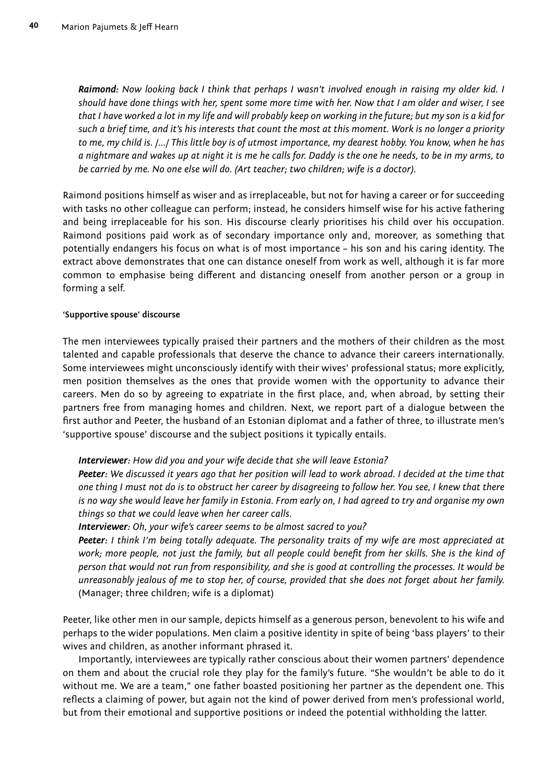*Raimond: Now looking back I think that perhaps I wasn't involved enough in raising my older kid. I should have done things with her, spent some more time with her. Now that I am older and wiser, I see that I have worked a lot in my life and will probably keep on working in the future; but my son is a kid for such a brief time, and it's his interests that count the most at this moment. Work is no longer a priority to me, my child is. /.../ This little boy is of utmost importance, my dearest hobby. You know, when he has a nightmare and wakes up at night it is me he calls for. Daddy is the one he needs, to be in my arms, to be carried by me. No one else will do. (Art teacher; two children; wife is a doctor).*

Raimond positions himself as wiser and as irreplaceable, but not for having a career or for succeeding with tasks no other colleague can perform; instead, he considers himself wise for his active fathering and being irreplaceable for his son. His discourse clearly prioritises his child over his occupation. Raimond positions paid work as of secondary importance only and, moreover, as something that potentially endangers his focus on what is of most importance – his son and his caring identity. The extract above demonstrates that one can distance oneself from work as well, although it is far more common to emphasise being different and distancing oneself from another person or a group in forming a self.

#### **'Supportive spouse' discourse**

The men interviewees typically praised their partners and the mothers of their children as the most talented and capable professionals that deserve the chance to advance their careers internationally. Some interviewees might unconsciously identify with their wives' professional status; more explicitly, men position themselves as the ones that provide women with the opportunity to advance their careers. Men do so by agreeing to expatriate in the first place, and, when abroad, by setting their partners free from managing homes and children. Next, we report part of a dialogue between the first author and Peeter, the husband of an Estonian diplomat and a father of three, to illustrate men's 'supportive spouse' discourse and the subject positions it typically entails.

*Interviewer: How did you and your wife decide that she will leave Estonia?*

*Peeter: We discussed it years ago that her position will lead to work abroad. I decided at the time that one thing I must not do is to obstruct her career by disagreeing to follow her. You see, I knew that there is no way she would leave her family in Estonia. From early on, I had agreed to try and organise my own things so that we could leave when her career calls.*

*Interviewer: Oh, your wife's career seems to be almost sacred to you?*

*Peeter: I think I'm being totally adequate. The personality traits of my wife are most appreciated at*  work; more people, not just the family, but all people could benefit from her skills. She is the kind of *person that would not run from responsibility, and she is good at controlling the processes. It would be unreasonably jealous of me to stop her, of course, provided that she does not forget about her family.*  (Manager; three children; wife is a diplomat)

Peeter, like other men in our sample, depicts himself as a generous person, benevolent to his wife and perhaps to the wider populations. Men claim a positive identity in spite of being 'bass players' to their wives and children, as another informant phrased it.

Importantly, interviewees are typically rather conscious about their women partners' dependence on them and about the crucial role they play for the family's future. "She wouldn't be able to do it without me. We are a team," one father boasted positioning her partner as the dependent one. This reflects a claiming of power, but again not the kind of power derived from men's professional world, but from their emotional and supportive positions or indeed the potential withholding the latter.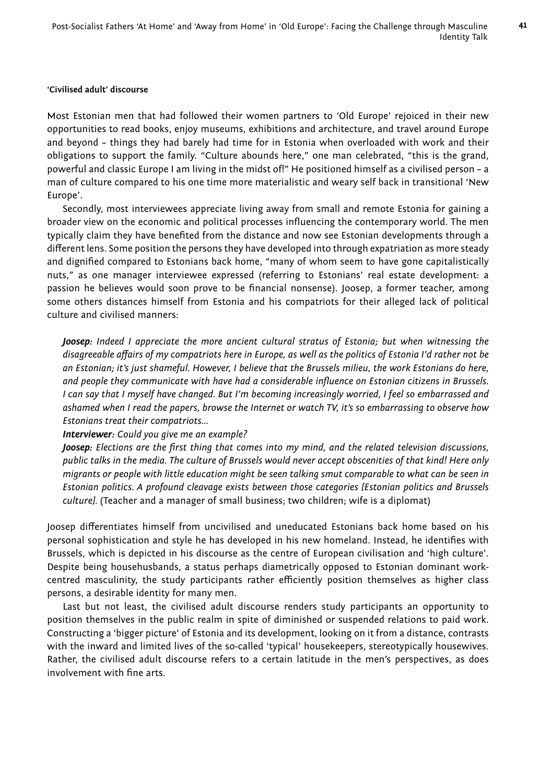**41**

#### **'Civilised adult' discourse**

Most Estonian men that had followed their women partners to 'Old Europe' rejoiced in their new opportunities to read books, enjoy museums, exhibitions and architecture, and travel around Europe and beyond – things they had barely had time for in Estonia when overloaded with work and their obligations to support the family. "Culture abounds here," one man celebrated, "this is the grand, powerful and classic Europe I am living in the midst of!" He positioned himself as a civilised person – a man of culture compared to his one time more materialistic and weary self back in transitional 'New Europe'.

Secondly, most interviewees appreciate living away from small and remote Estonia for gaining a broader view on the economic and political processes influencing the contemporary world. The men typically claim they have benefited from the distance and now see Estonian developments through a different lens. Some position the persons they have developed into through expatriation as more steady and dignified compared to Estonians back home, "many of whom seem to have gone capitalistically nuts," as one manager interviewee expressed (referring to Estonians' real estate development: a passion he believes would soon prove to be financial nonsense). Joosep, a former teacher, among some others distances himself from Estonia and his compatriots for their alleged lack of political culture and civilised manners:

*Joosep: Indeed I appreciate the more ancient cultural stratus of Estonia; but when witnessing the disagreeable aff airs of my compatriots here in Europe, as well as the politics of Estonia I'd rather not be an Estonian; it's just shameful. However, I believe that the Brussels milieu, the work Estonians do here,*  and people they communicate with have had a considerable influence on Estonian citizens in Brussels. *I can say that I myself have changed. But I'm becoming increasingly worried, I feel so embarrassed and ashamed when I read the papers, browse the Internet or watch TV, it's so embarrassing to observe how Estonians treat their compatriots...*

#### *Interviewer: Could you give me an example?*

*Joosep: Elections are the first thing that comes into my mind, and the related television discussions, public talks in the media. The culture of Brussels would never accept obscenities of that kind! Here only migrants or people with little education might be seen talking smut comparable to what can be seen in Estonian politics. A profound cleavage exists between those categories [Estonian politics and Brussels culture].* (Teacher and a manager of small business; two children; wife is a diplomat)

Joosep differentiates himself from uncivilised and uneducated Estonians back home based on his personal sophistication and style he has developed in his new homeland. Instead, he identifies with Brussels, which is depicted in his discourse as the centre of European civilisation and 'high culture'. Despite being househusbands, a status perhaps diametrically opposed to Estonian dominant workcentred masculinity, the study participants rather efficiently position themselves as higher class persons, a desirable identity for many men.

Last but not least, the civilised adult discourse renders study participants an opportunity to position themselves in the public realm in spite of diminished or suspended relations to paid work. Constructing a 'bigger picture' of Estonia and its development, looking on it from a distance, contrasts with the inward and limited lives of the so-called 'typical' housekeepers, stereotypically housewives. Rather, the civilised adult discourse refers to a certain latitude in the men's perspectives, as does involvement with fine arts.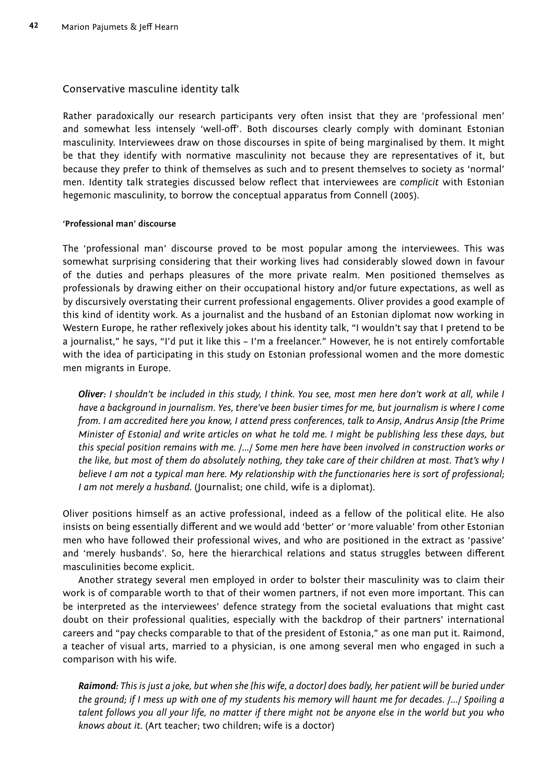#### Conservative masculine identity talk

Rather paradoxically our research participants very often insist that they are 'professional men' and somewhat less intensely 'well-off'. Both discourses clearly comply with dominant Estonian masculinity. Interviewees draw on those discourses in spite of being marginalised by them. It might be that they identify with normative masculinity not because they are representatives of it, but because they prefer to think of themselves as such and to present themselves to society as 'normal' men. Identity talk strategies discussed below reflect that interviewees are *complicit* with Estonian hegemonic masculinity, to borrow the conceptual apparatus from Connell (2005).

#### **'Professional man' discourse**

The 'professional man' discourse proved to be most popular among the interviewees. This was somewhat surprising considering that their working lives had considerably slowed down in favour of the duties and perhaps pleasures of the more private realm. Men positioned themselves as professionals by drawing either on their occupational history and/or future expectations, as well as by discursively overstating their current professional engagements. Oliver provides a good example of this kind of identity work. As a journalist and the husband of an Estonian diplomat now working in Western Europe, he rather reflexively jokes about his identity talk, "I wouldn't say that I pretend to be a journalist," he says, "I'd put it like this – I'm a freelancer." However, he is not entirely comfortable with the idea of participating in this study on Estonian professional women and the more domestic men migrants in Europe.

*Oliver: I shouldn't be included in this study, I think. You see, most men here don't work at all, while I have a background in journalism. Yes, there've been busier times for me, but journalism is where I come from. I am accredited here you know, I attend press conferences, talk to Ansip, Andrus Ansip [the Prime Minister of Estonia] and write articles on what he told me. I might be publishing less these days, but this special position remains with me. /.../ Some men here have been involved in construction works or the like, but most of them do absolutely nothing, they take care of their children at most. That's why I believe I am not a typical man here. My relationship with the functionaries here is sort of professional; I am not merely a husband.* (Journalist; one child, wife is a diplomat).

Oliver positions himself as an active professional, indeed as a fellow of the political elite. He also insists on being essentially different and we would add 'better' or 'more valuable' from other Estonian men who have followed their professional wives, and who are positioned in the extract as 'passive' and 'merely husbands'. So, here the hierarchical relations and status struggles between different masculinities become explicit.

Another strategy several men employed in order to bolster their masculinity was to claim their work is of comparable worth to that of their women partners, if not even more important. This can be interpreted as the interviewees' defence strategy from the societal evaluations that might cast doubt on their professional qualities, especially with the backdrop of their partners' international careers and "pay checks comparable to that of the president of Estonia," as one man put it. Raimond, a teacher of visual arts, married to a physician, is one among several men who engaged in such a comparison with his wife.

*Raimond: This is just a joke, but when she [his wife, a doctor] does badly, her patient will be buried under the ground; if I mess up with one of my students his memory will haunt me for decades. /.../ Spoiling a talent follows you all your life, no matter if there might not be anyone else in the world but you who knows about it.* (Art teacher; two children; wife is a doctor)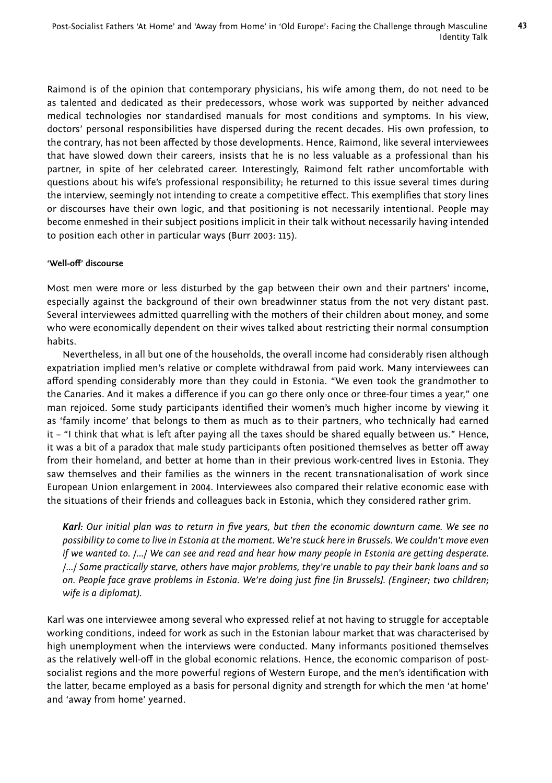Raimond is of the opinion that contemporary physicians, his wife among them, do not need to be as talented and dedicated as their predecessors, whose work was supported by neither advanced medical technologies nor standardised manuals for most conditions and symptoms. In his view, doctors' personal responsibilities have dispersed during the recent decades. His own profession, to the contrary, has not been affected by those developments. Hence, Raimond, like several interviewees that have slowed down their careers, insists that he is no less valuable as a professional than his partner, in spite of her celebrated career. Interestingly, Raimond felt rather uncomfortable with questions about his wife's professional responsibility; he returned to this issue several times during the interview, seemingly not intending to create a competitive effect. This exemplifies that story lines or discourses have their own logic, and that positioning is not necessarily intentional. People may become enmeshed in their subject positions implicit in their talk without necessarily having intended to position each other in particular ways (Burr 2003: 115).

#### 'Well-off' discourse

Most men were more or less disturbed by the gap between their own and their partners' income, especially against the background of their own breadwinner status from the not very distant past. Several interviewees admitted quarrelling with the mothers of their children about money, and some who were economically dependent on their wives talked about restricting their normal consumption habits.

Nevertheless, in all but one of the households, the overall income had considerably risen although expatriation implied men's relative or complete withdrawal from paid work. Many interviewees can afford spending considerably more than they could in Estonia. "We even took the grandmother to the Canaries. And it makes a difference if you can go there only once or three-four times a year," one man rejoiced. Some study participants identified their women's much higher income by viewing it as 'family income' that belongs to them as much as to their partners, who technically had earned it – "I think that what is left after paying all the taxes should be shared equally between us." Hence, it was a bit of a paradox that male study participants often positioned themselves as better off away from their homeland, and better at home than in their previous work-centred lives in Estonia. They saw themselves and their families as the winners in the recent transnationalisation of work since European Union enlargement in 2004. Interviewees also compared their relative economic ease with the situations of their friends and colleagues back in Estonia, which they considered rather grim.

Karl: Our initial plan was to return in five years, but then the economic downturn came. We see no *possibility to come to live in Estonia at the moment. We're stuck here in Brussels. We couldn't move even if we wanted to. /.../ We can see and read and hear how many people in Estonia are getting desperate. /.../ Some practically starve, others have major problems, they're unable to pay their bank loans and so*  on. People face grave problems in Estonia. We're doing just fine [in Brussels]. (Engineer; two children; *wife is a diplomat).*

Karl was one interviewee among several who expressed relief at not having to struggle for acceptable working conditions, indeed for work as such in the Estonian labour market that was characterised by high unemployment when the interviews were conducted. Many informants positioned themselves as the relatively well-off in the global economic relations. Hence, the economic comparison of postsocialist regions and the more powerful regions of Western Europe, and the men's identification with the latter, became employed as a basis for personal dignity and strength for which the men 'at home' and 'away from home' yearned.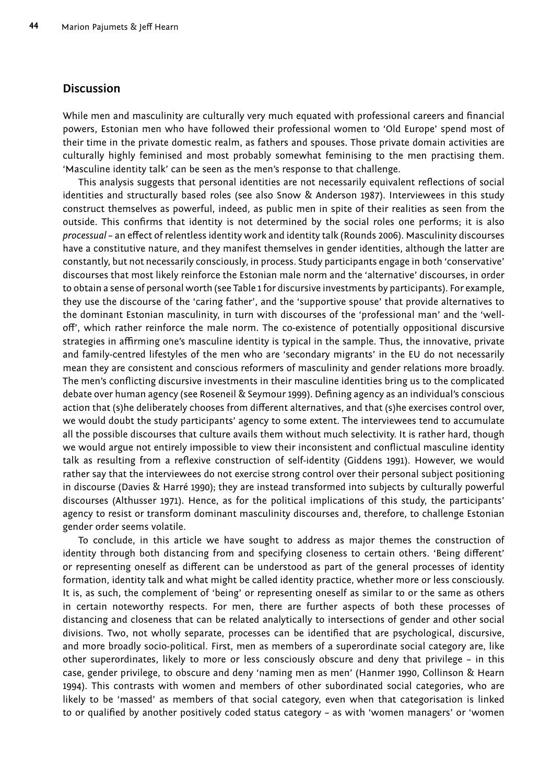### **Discussion**

While men and masculinity are culturally very much equated with professional careers and financial powers, Estonian men who have followed their professional women to 'Old Europe' spend most of their time in the private domestic realm, as fathers and spouses. Those private domain activities are culturally highly feminised and most probably somewhat feminising to the men practising them. 'Masculine identity talk' can be seen as the men's response to that challenge.

This analysis suggests that personal identities are not necessarily equivalent reflections of social identities and structurally based roles (see also Snow & Anderson 1987). Interviewees in this study construct themselves as powerful, indeed, as public men in spite of their realities as seen from the outside. This confirms that identity is not determined by the social roles one performs; it is also *processual* – an effect of relentless identity work and identity talk (Rounds 2006). Masculinity discourses have a constitutive nature, and they manifest themselves in gender identities, although the latter are constantly, but not necessarily consciously, in process. Study participants engage in both 'conservative' discourses that most likely reinforce the Estonian male norm and the 'alternative' discourses, in order to obtain a sense of personal worth (see Table 1 for discursive investments by participants). For example, they use the discourse of the 'caring father', and the 'supportive spouse' that provide alternatives to the dominant Estonian masculinity, in turn with discourses of the 'professional man' and the 'welloff', which rather reinforce the male norm. The co-existence of potentially oppositional discursive strategies in affirming one's masculine identity is typical in the sample. Thus, the innovative, private and family-centred lifestyles of the men who are 'secondary migrants' in the EU do not necessarily mean they are consistent and conscious reformers of masculinity and gender relations more broadly. The men's conflicting discursive investments in their masculine identities bring us to the complicated debate over human agency (see Roseneil & Seymour 1999). Defining agency as an individual's conscious action that (s)he deliberately chooses from different alternatives, and that (s)he exercises control over, we would doubt the study participants' agency to some extent. The interviewees tend to accumulate all the possible discourses that culture avails them without much selectivity. It is rather hard, though we would argue not entirely impossible to view their inconsistent and conflictual masculine identity talk as resulting from a reflexive construction of self-identity (Giddens 1991). However, we would rather say that the interviewees do not exercise strong control over their personal subject positioning in discourse (Davies & Harré 1990); they are instead transformed into subjects by culturally powerful discourses (Althusser 1971). Hence, as for the political implications of this study, the participants' agency to resist or transform dominant masculinity discourses and, therefore, to challenge Estonian gender order seems volatile.

To conclude, in this article we have sought to address as major themes the construction of identity through both distancing from and specifying closeness to certain others. 'Being different' or representing oneself as different can be understood as part of the general processes of identity formation, identity talk and what might be called identity practice, whether more or less consciously. It is, as such, the complement of 'being' or representing oneself as similar to or the same as others in certain noteworthy respects. For men, there are further aspects of both these processes of distancing and closeness that can be related analytically to intersections of gender and other social divisions. Two, not wholly separate, processes can be identified that are psychological, discursive, and more broadly socio-political. First, men as members of a superordinate social category are, like other superordinates, likely to more or less consciously obscure and deny that privilege – in this case, gender privilege, to obscure and deny 'naming men as men' (Hanmer 1990, Collinson & Hearn 1994). This contrasts with women and members of other subordinated social categories, who are likely to be 'massed' as members of that social category, even when that categorisation is linked to or qualified by another positively coded status category - as with 'women managers' or 'women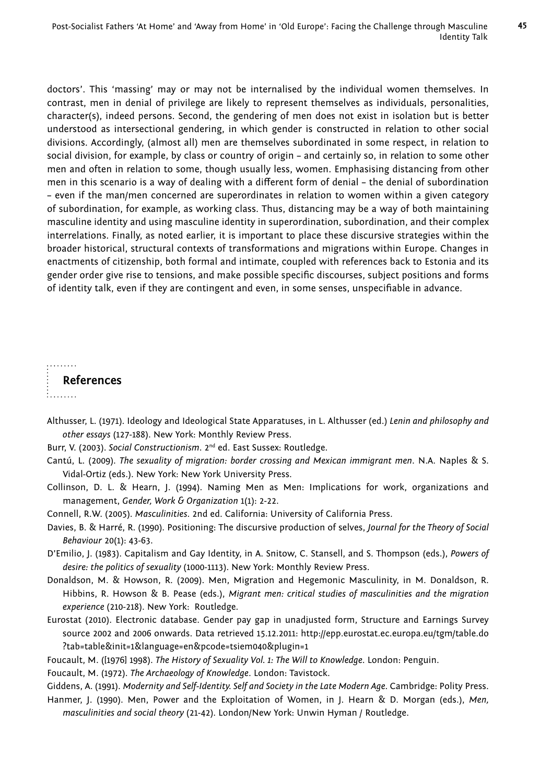doctors'. This 'massing' may or may not be internalised by the individual women themselves. In contrast, men in denial of privilege are likely to represent themselves as individuals, personalities, character(s), indeed persons. Second, the gendering of men does not exist in isolation but is better understood as intersectional gendering, in which gender is constructed in relation to other social divisions. Accordingly, (almost all) men are themselves subordinated in some respect, in relation to social division, for example, by class or country of origin – and certainly so, in relation to some other men and often in relation to some, though usually less, women. Emphasising distancing from other men in this scenario is a way of dealing with a different form of denial - the denial of subordination – even if the man/men concerned are superordinates in relation to women within a given category of subordination, for example, as working class. Thus, distancing may be a way of both maintaining masculine identity and using masculine identity in superordination, subordination, and their complex interrelations. Finally, as noted earlier, it is important to place these discursive strategies within the broader historical, structural contexts of transformations and migrations within Europe. Changes in enactments of citizenship, both formal and intimate, coupled with references back to Estonia and its gender order give rise to tensions, and make possible specific discourses, subject positions and forms of identity talk, even if they are contingent and even, in some senses, unspecifiable in advance.

. . . . . . . . **References** i........

- Althusser, L. (1971). Ideology and Ideological State Apparatuses, in L. Althusser (ed.) *Lenin and philosophy and other essays* (127-188). New York: Monthly Review Press.
- Burr, V. (2003). *Social Constructionism*. 2nd ed. East Sussex: Routledge.
- Cantú, L. (2009). *The sexuality of migration: border crossing and Mexican immigrant men*. N.A. Naples & S. Vidal-Ortiz (eds.). New York: New York University Press.
- Collinson, D. L. & Hearn, J. (1994). Naming Men as Men: Implications for work, organizations and management, *Gender, Work & Organization* 1(1): 2-22.
- Connell, R.W. (2005). *Masculinities*. 2nd ed. California: University of California Press.
- Davies, B. & Harré, R. (1990). Positioning: The discursive production of selves, *Journal for the Theory of Social Behaviour* 20(1): 43-63.
- D'Emilio, J. (1983). Capitalism and Gay Identity, in A. Snitow, C. Stansell, and S. Thompson (eds.), *Powers of desire: the politics of sexuality* (1000-1113). New York: Monthly Review Press.
- Donaldson, M. & Howson, R. (2009). Men, Migration and Hegemonic Masculinity, in M. Donaldson, R. Hibbins, R. Howson & B. Pease (eds.), *Migrant men: critical studies of masculinities and the migration experience* (210-218). New York: Routledge.
- Eurostat (2010). Electronic database. Gender pay gap in unadjusted form, Structure and Earnings Survey source 2002 and 2006 onwards. Data retrieved 15.12.2011: http://epp.eurostat.ec.europa.eu/tgm/table.do ?tab=table&init=1&language=en&pcode=tsiem040&plugin=1
- Foucault, M. ([1976] 1998). *The History of Sexuality Vol. 1: The Will to Knowledge*. London: Penguin.

Foucault, M. (1972). *The Archaeology of Knowledge*. London: Tavistock.

Giddens, A. (1991). *Modernity and Self-Identity. Self and Society in the Late Modern Age*. Cambridge: Polity Press.

Hanmer, J. (1990). Men, Power and the Exploitation of Women, in J. Hearn & D. Morgan (eds.), *Men, masculinities and social theory* (21-42). London/New York: Unwin Hyman / Routledge.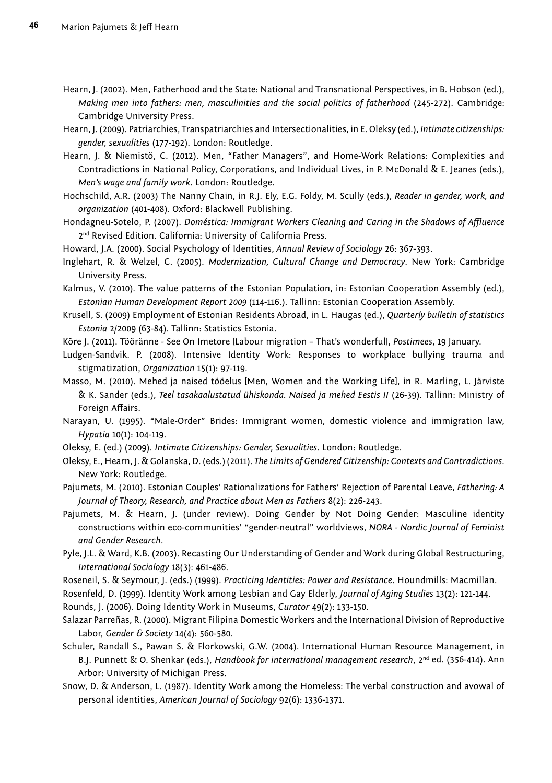- Hearn, J. (2002). Men, Fatherhood and the State: National and Transnational Perspectives, in B. Hobson (ed.), *Making men into fathers: men, masculinities and the social politics of fatherhood* (245-272). Cambridge: Cambridge University Press.
- Hearn, J. (2009). Patriarchies, Transpatriarchies and Intersectionalities, in E. Oleksy (ed.), *Intimate citizenships: gender, sexualities* (177-192). London: Routledge.
- Hearn, J. & Niemistö, C. (2012). Men, "Father Managers", and Home-Work Relations: Complexities and Contradictions in National Policy, Corporations, and Individual Lives, in P. McDonald & E. Jeanes (eds.), *Men's wage and family work*. London: Routledge.
- Hochschild, A.R. (2003) The Nanny Chain, in R.J. Ely, E.G. Foldy, M. Scully (eds.), *Reader in gender, work, and organization* (401-408). Oxford: Blackwell Publishing.
- Hondagneu-Sotelo, P. (2007). *Doméstica: Immigrant Workers Cleaning and Caring in the Shadows of Affl uence* 2<sup>nd</sup> Revised Edition. California: University of California Press.
- Howard, J.A. (2000). Social Psychology of Identities, *Annual Review of Sociology* 26: 367-393.
- Inglehart, R. & Welzel, C. (2005). *Modernization, Cultural Change and Democracy*. New York: Cambridge University Press.
- Kalmus, V. (2010). The value patterns of the Estonian Population, in: Estonian Cooperation Assembly (ed.), *Estonian Human Development Report 2009* (114-116.). Tallinn: Estonian Cooperation Assembly.
- Krusell, S. (2009) Employment of Estonian Residents Abroad, in L. Haugas (ed.), *Quarterly bulletin of statistics Estonia* 2/2009 (63-84). Tallinn: Statistics Estonia.
- Kõre J. (2011). Tööränne See On Imetore [Labour migration That's wonderful], *Postimees*, 19 January.
- Ludgen-Sandvik. P. (2008). Intensive Identity Work: Responses to workplace bullying trauma and stigmatization, *Organization* 15(1): 97-119.
- Masso, M. (2010). Mehed ja naised tööelus [Men, Women and the Working Life], in R. Marling, L. Järviste & K. Sander (eds.), *Teel tasakaalustatud ühiskonda. Naised ja mehed Eestis II* (26-39). Tallinn: Ministry of Foreign Affairs.
- Narayan, U. (1995). "Male-Order" Brides: Immigrant women, domestic violence and immigration law, *Hypatia* 10(1): 104-119.
- Oleksy, E. (ed.) (2009). *Intimate Citizenships: Gender, Sexualities*. London: Routledge.
- Oleksy, E., Hearn, J. & Golanska, D. (eds.) (2011). *The Limits of Gendered Citizenship: Contexts and Contradictions*. New York: Routledge.
- Pajumets, M. (2010). Estonian Couples' Rationalizations for Fathers' Rejection of Parental Leave, *Fathering: A Journal of Theory, Research, and Practice about Men as Fathers* 8(2): 226-243.
- Pajumets, M. & Hearn, J. (under review). Doing Gender by Not Doing Gender: Masculine identity constructions within eco-communities' "gender-neutral" worldviews, *NORA - Nordic Journal of Feminist and Gender Research*.
- Pyle, J.L. & Ward, K.B. (2003). Recasting Our Understanding of Gender and Work during Global Restructuring, *International Sociology* 18(3): 461-486.
- Roseneil, S. & Seymour, J. (eds.) (1999). *Practicing Identities: Power and Resistance*. Houndmills: Macmillan.
- Rosenfeld, D. (1999). Identity Work among Lesbian and Gay Elderly, *Journal of Aging Studies* 13(2): 121-144.
- Rounds, J. (2006). Doing Identity Work in Museums, *Curator* 49(2): 133-150.
- Salazar Parreñas, R. (2000). Migrant Filipina Domestic Workers and the International Division of Reproductive Labor, *Gender & Society* 14(4): 560-580.
- Schuler, Randall S., Pawan S. & Florkowski, G.W. (2004). International Human Resource Management, in B.J. Punnett & O. Shenkar (eds.), *Handbook for international management research*, 2<sup>nd</sup> ed. (356-414). Ann Arbor: University of Michigan Press.
- Snow, D. & Anderson, L. (1987). Identity Work among the Homeless: The verbal construction and avowal of personal identities, *American Journal of Sociology* 92(6): 1336-1371.